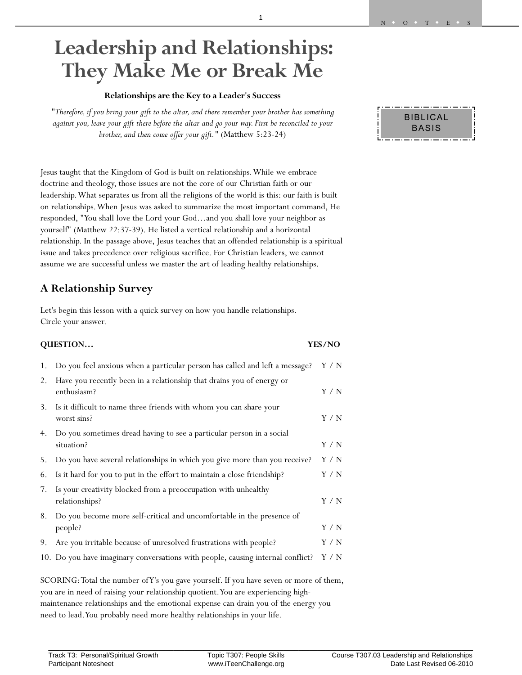# **Leadership and Relationships: They Make Me or Break Me**

#### **Relationships are the Key to a Leader's Success**

*"Therefore, if you bring your gift to the altar, and there remember your brother has something against you, leave your gift there before the altar and go your way. First be reconciled to your brother, and then come offer your gift."* (Matthew 5:23-24)

Jesus taught that the Kingdom of God is built on relationships. While we embrace doctrine and theology, those issues are not the core of our Christian faith or our leadership. What separates us from all the religions of the world is this: our faith is built on relationships. When Jesus was asked to summarize the most important command, He responded, "You shall love the Lord your God…and you shall love your neighbor as yourself" (Matthew 22:37-39). He listed a vertical relationship and a horizontal relationship. In the passage above, Jesus teaches that an offended relationship is a spiritual issue and takes precedence over religious sacrifice. For Christian leaders, we cannot assume we are successful unless we master the art of leading healthy relationships.

### **A Relationship Survey**

Let's begin this lesson with a quick survey on how you handle relationships. Circle your answer.

#### **QUESTION… YES/NO**

| 1. | Do you feel anxious when a particular person has called and left a message?          | Y / N |
|----|--------------------------------------------------------------------------------------|-------|
| 2. | Have you recently been in a relationship that drains you of energy or<br>enthusiasm? | Y / N |
| 3. | Is it difficult to name three friends with whom you can share your<br>worst sins?    | Y/N   |
| 4. | Do you sometimes dread having to see a particular person in a social<br>situation?   | Y/N   |
| 5. | Do you have several relationships in which you give more than you receive?           | Y/N   |
| 6. | Is it hard for you to put in the effort to maintain a close friendship?              | Y / N |
| 7. | Is your creativity blocked from a preoccupation with unhealthy<br>relationships?     | Y/N   |
| 8. | Do you become more self-critical and uncomfortable in the presence of<br>people?     | Y/N   |
| 9. | Are you irritable because of unresolved frustrations with people?                    | Y / N |
|    | 10. Do you have imaginary conversations with people, causing internal conflict?      | Y / N |

SCORING: Total the number of Y's you gave yourself. If you have seven or more of them, you are in need of raising your relationship quotient. You are experiencing highmaintenance relationships and the emotional expense can drain you of the energy you need to lead. You probably need more healthy relationships in your life.

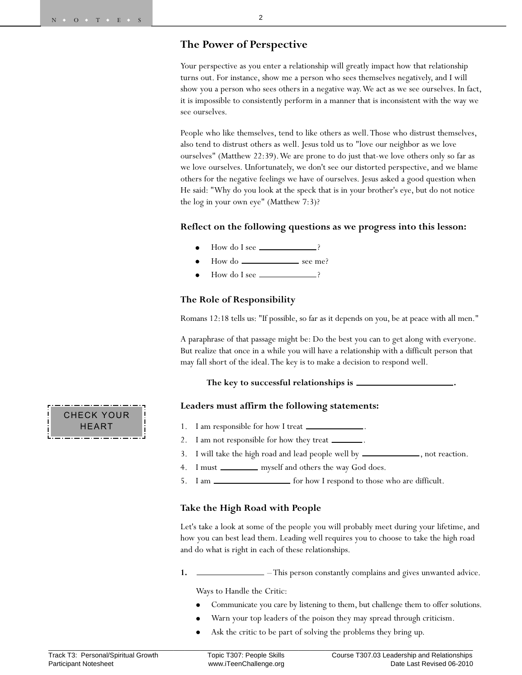#### **The Power of Perspective**

Your perspective as you enter a relationship will greatly impact how that relationship turns out. For instance, show me a person who sees themselves negatively, and I will show you a person who sees others in a negative way. We act as we see ourselves. In fact, it is impossible to consistently perform in a manner that is inconsistent with the way we see ourselves.

People who like themselves, tend to like others as well. Those who distrust themselves, also tend to distrust others as well. Jesus told us to "love our neighbor as we love ourselves" (Matthew 22:39). We are prone to do just that-we love others only so far as we love ourselves. Unfortunately, we don't see our distorted perspective, and we blame others for the negative feelings we have of ourselves. Jesus asked a good question when He said: "Why do you look at the speck that is in your brother's eye, but do not notice the log in your own eye" (Matthew 7:3)?

#### **Reflect on the following questions as we progress into this lesson:**

- $\bullet$ How do I see ?
- $\bullet$ How do see me?
- $\bullet$ How do I see  $\_\_\_\_\_\_\$  ?

#### **The Role of Responsibility**

Romans 12:18 tells us: "If possible, so far as it depends on you, be at peace with all men."

A paraphrase of that passage might be: Do the best you can to get along with everyone. But realize that once in a while you will have a relationship with a difficult person that may fall short of the ideal. The key is to make a decision to respond well.

#### **The key to successful relationships is .**

#### **Leaders must affirm the following statements:**

- 1. I am responsible for how I treat  $\equiv$
- 2. I am not responsible for how they treat  $\equiv$
- I will take the high road and lead people well by \_\_\_\_\_\_\_\_\_\_\_\_\_, not reaction.
- 4. I must **interest and others** the way God does.
- 5. I am  $\frac{1}{\sqrt{1-\frac{1}{\sqrt{1-\frac{1}{\sqrt{1-\frac{1}{\sqrt{1-\frac{1}{\sqrt{1-\frac{1}{\sqrt{1-\frac{1}{\sqrt{1-\frac{1}{\sqrt{1-\frac{1}{\sqrt{1-\frac{1}{\sqrt{1-\frac{1}{\sqrt{1-\frac{1}{\sqrt{1-\frac{1}{\sqrt{1-\frac{1}{\sqrt{1-\frac{1}{\sqrt{1-\frac{1}{\sqrt{1-\frac{1}{\sqrt{1-\frac{1}{\sqrt{1-\frac{1}{\sqrt{1-\frac{1}{\sqrt{1-\frac{1}{\sqrt{1-\frac{1}{\sqrt{1-\frac{1}{\sqrt{1-\frac{1}{\$

#### **Take the High Road with People**

Let's take a look at some of the people you will probably meet during your lifetime, and how you can best lead them. Leading well requires you to choose to take the high road and do what is right in each of these relationships.

**1.**  $\frac{1}{\sqrt{1-\frac{1}{\sqrt{1-\frac{1}{\sqrt{1-\frac{1}{\sqrt{1-\frac{1}{\sqrt{1-\frac{1}{\sqrt{1-\frac{1}{\sqrt{1-\frac{1}{\sqrt{1-\frac{1}{\sqrt{1-\frac{1}{\sqrt{1-\frac{1}{\sqrt{1-\frac{1}{\sqrt{1-\frac{1}{\sqrt{1-\frac{1}{\sqrt{1-\frac{1}{\sqrt{1-\frac{1}{\sqrt{1-\frac{1}{\sqrt{1-\frac{1}{\sqrt{1-\frac{1}{\sqrt{1-\frac{1}{\sqrt{1-\frac{1}{\sqrt{1-\frac{1}{\sqrt{1-\frac{1}{\sqrt{1-\frac{1}{\sqrt{1$ 

Ways to Handle the Critic:

- $\bullet$ Communicate you care by listening to them, but challenge them to offer solutions.
- $\bullet$ Warn your top leaders of the poison they may spread through criticism.
- $\bullet$ Ask the critic to be part of solving the problems they bring up.

CHECK YOUR HEART

\_\_\_\_\_\_\_\_\_\_\_\_\_\_\_\_\_\_\_\_\_\_\_\_\_\_\_\_\_\_\_\_\_\_\_\_\_\_\_\_\_\_\_\_\_\_\_\_\_\_\_\_\_\_\_\_\_\_\_\_\_\_\_\_\_\_\_\_\_\_\_\_\_\_\_\_\_\_\_\_\_\_\_\_\_\_\_\_\_\_\_\_\_\_\_\_\_\_\_\_\_\_\_\_\_\_\_\_\_\_\_\_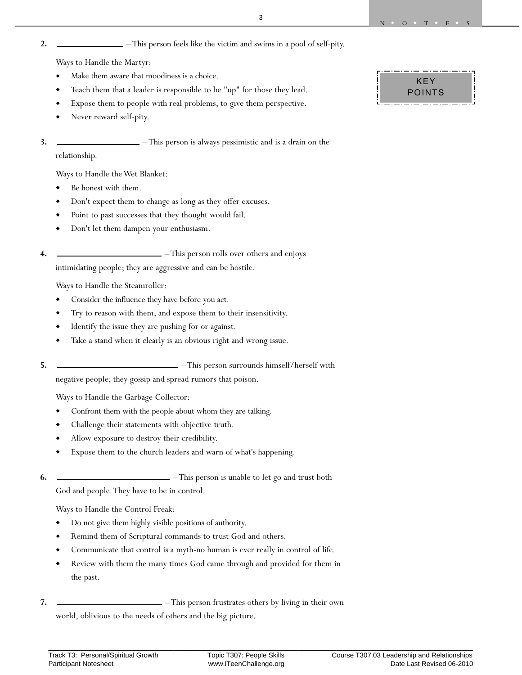#### **2.**  $\qquad \qquad$  – This person feels like the victim and swims in a pool of self-pity.

Ways to Handle the Martyr:

- Make them aware that moodiness is a choice.
- Teach them that a leader is responsible to be "up" for those they lead.
- Expose them to people with real problems, to give them perspective.
- Never reward self-pity.
- **3.** This person is always pessimistic and is a drain on the relationship.

Ways to Handle the Wet Blanket:

- Be honest with them.
- Don't expect them to change as long as they offer excuses.
- Point to past successes that they thought would fail.
- Don't let them dampen your enthusiasm.
- **4.**  $\qquad \qquad$  This person rolls over others and enjoys intimidating people; they are aggressive and can be hostile.

Ways to Handle the Steamroller:

- Consider the influence they have before you act.
- Try to reason with them, and expose them to their insensitivity.
- Identify the issue they are pushing for or against.
- Take a stand when it clearly is an obvious right and wrong issue.
- **5.**  $\qquad \qquad$  This person surrounds himself/herself with

negative people; they gossip and spread rumors that poison.

Ways to Handle the Garbage Collector:

- Confront them with the people about whom they are talking.
- Challenge their statements with objective truth.
- Allow exposure to destroy their credibility.
- Expose them to the church leaders and warn of what's happening.
- **6.**  $\qquad \qquad$  This person is unable to let go and trust both

God and people. They have to be in control.

Ways to Handle the Control Freak:

- Do not give them highly visible positions of authority.
- Remind them of Scriptural commands to trust God and others.
- Communicate that control is a myth-no human is ever really in control of life.
- Review with them the many times God came through and provided for them in the past.
- **7.**  $\frac{1}{\sqrt{1-\frac{1}{\sqrt{1-\frac{1}{\sqrt{1-\frac{1}{\sqrt{1-\frac{1}{\sqrt{1-\frac{1}{\sqrt{1-\frac{1}{\sqrt{1-\frac{1}{\sqrt{1-\frac{1}{\sqrt{1-\frac{1}{\sqrt{1-\frac{1}{\sqrt{1-\frac{1}{\sqrt{1-\frac{1}{\sqrt{1-\frac{1}{\sqrt{1-\frac{1}{\sqrt{1-\frac{1}{\sqrt{1-\frac{1}{\sqrt{1-\frac{1}{\sqrt{1-\frac{1}{\sqrt{1-\frac{1}{\sqrt{1-\frac{1}{\sqrt{1-\frac{1}{\sqrt{1-\frac{1}{\sqrt{1-\frac{1}{\sqrt{1$ world, oblivious to the needs of others and the big picture.

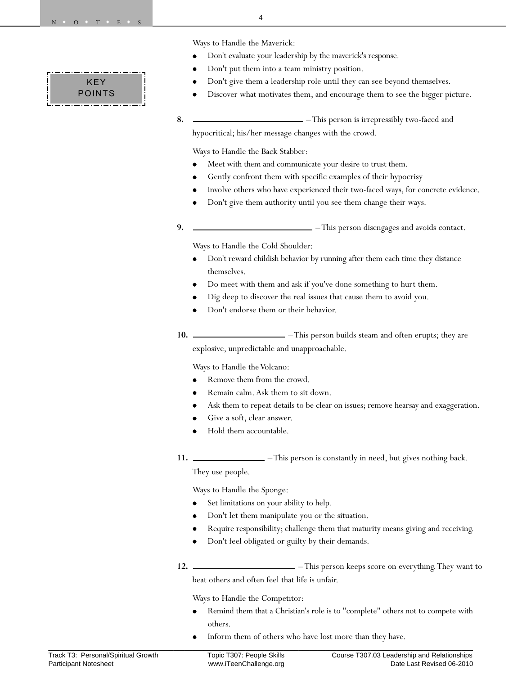## KEY POINTS

Ways to Handle the Maverick:

4

- $\bullet$ Don't evaluate your leadership by the maverick's response.
- $\bullet$ Don't put them into a team ministry position.
- $\bullet$ Don't give them a leadership role until they can see beyond themselves.
- $\bullet$ Discover what motivates them, and encourage them to see the bigger picture.
- **8.**  $\qquad \qquad$  This person is irrepressibly two-faced and

hypocritical; his/her message changes with the crowd.

Ways to Handle the Back Stabber:

- $\bullet$ Meet with them and communicate your desire to trust them.
- $\bullet$ Gently confront them with specific examples of their hypocrisy
- $\bullet$ Involve others who have experienced their two-faced ways, for concrete evidence.
- $\bullet$ Don't give them authority until you see them change their ways.
- **9.**  $\qquad \qquad$  This person disengages and avoids contact.

Ways to Handle the Cold Shoulder:

- $\bullet$  Don't reward childish behavior by running after them each time they distance themselves.
- $\bullet$ Do meet with them and ask if you've done something to hurt them.
- $\bullet$ Dig deep to discover the real issues that cause them to avoid you.
- $\bullet$ Don't endorse them or their behavior.
- **10.**  $\qquad \qquad \qquad$  This person builds steam and often erupts; they are explosive, unpredictable and unapproachable.

Ways to Handle the Volcano:

- $\bullet$ Remove them from the crowd.
- $\bullet$ Remain calm. Ask them to sit down.
- $\bullet$ Ask them to repeat details to be clear on issues; remove hearsay and exaggeration.
- $\bullet$ Give a soft, clear answer.
- $\bullet$ Hold them accountable.
- **11.**  $\qquad \qquad$  This person is constantly in need, but gives nothing back.

They use people.

Ways to Handle the Sponge:

- $\bullet$ Set limitations on your ability to help.
- $\bullet$ Don't let them manipulate you or the situation.
- $\bullet$ Require responsibility; challenge them that maturity means giving and receiving.
- $\bullet$ Don't feel obligated or guilty by their demands.
- **12.**  $\frac{1}{2}$  This person keeps score on everything. They want to beat others and often feel that life is unfair.

Ways to Handle the Competitor:

- $\bullet$  Remind them that a Christian's role is to "complete" others not to compete with others.
- $\bullet$ Inform them of others who have lost more than they have.